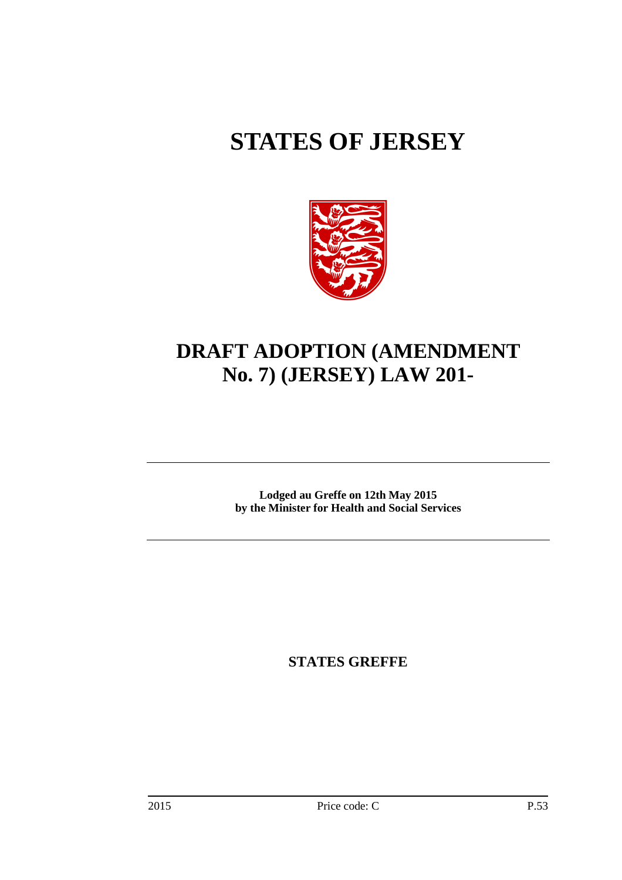# **STATES OF JERSEY**



## **DRAFT ADOPTION (AMENDMENT No. 7) (JERSEY) LAW 201-**

**Lodged au Greffe on 12th May 2015 by the Minister for Health and Social Services** 

**STATES GREFFE**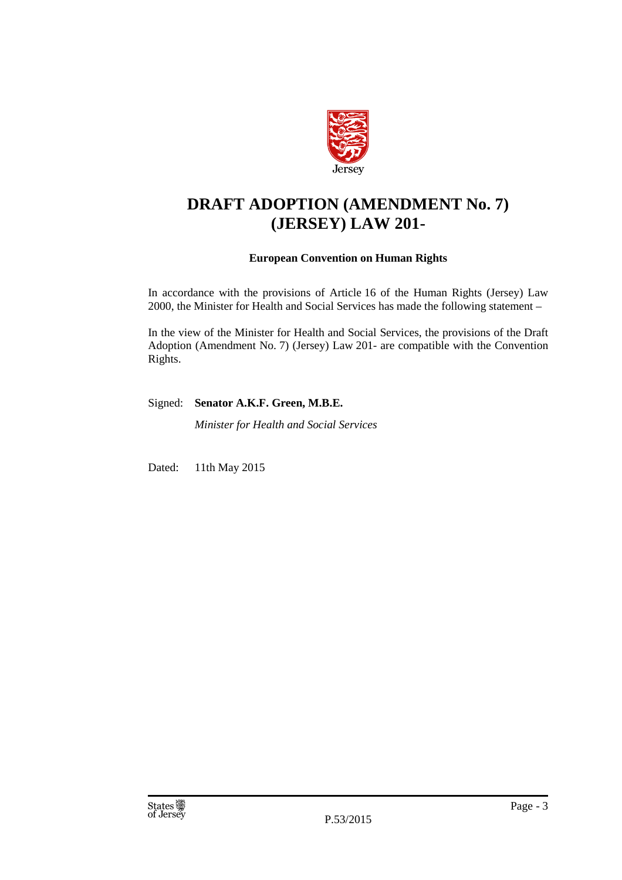

### **DRAFT ADOPTION (AMENDMENT No. 7) (JERSEY) LAW 201-**

### **European Convention on Human Rights**

In accordance with the provisions of Article 16 of the Human Rights (Jersey) Law 2000, the Minister for Health and Social Services has made the following statement –

In the view of the Minister for Health and Social Services, the provisions of the Draft Adoption (Amendment No. 7) (Jersey) Law 201- are compatible with the Convention Rights.

Signed: **Senator A.K.F. Green, M.B.E.** 

*Minister for Health and Social Services* 

Dated: 11th May 2015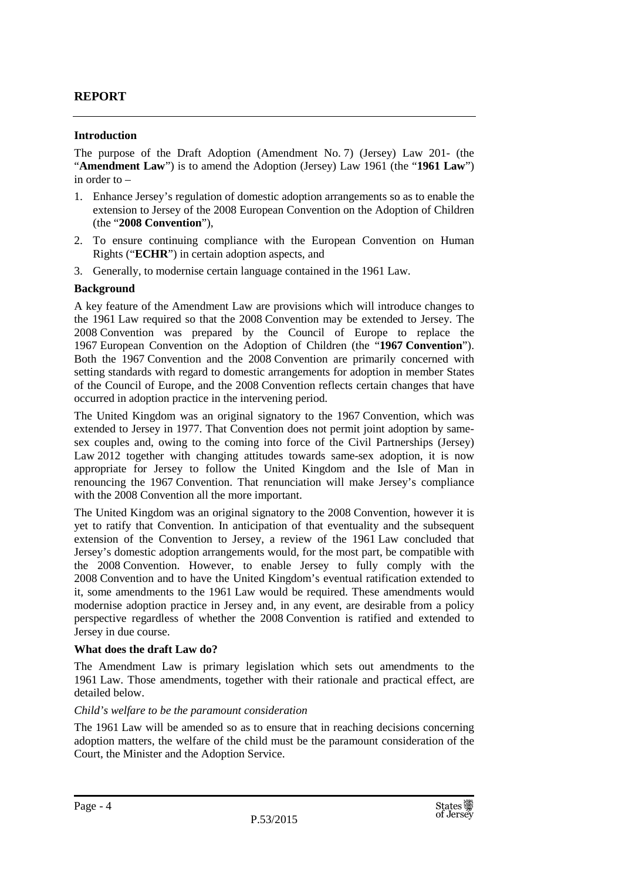### **REPORT**

### **Introduction**

The purpose of the Draft Adoption (Amendment No. 7) (Jersey) Law 201- (the "**Amendment Law**") is to amend the Adoption (Jersey) Law 1961 (the "**1961 Law**") in order to –

- 1. Enhance Jersey's regulation of domestic adoption arrangements so as to enable the extension to Jersey of the 2008 European Convention on the Adoption of Children (the "**2008 Convention**"),
- 2. To ensure continuing compliance with the European Convention on Human Rights ("**ECHR**") in certain adoption aspects, and
- 3. Generally, to modernise certain language contained in the 1961 Law.

### **Background**

A key feature of the Amendment Law are provisions which will introduce changes to the 1961 Law required so that the 2008 Convention may be extended to Jersey. The 2008 Convention was prepared by the Council of Europe to replace the 1967 European Convention on the Adoption of Children (the "**1967 Convention**"). Both the 1967 Convention and the 2008 Convention are primarily concerned with setting standards with regard to domestic arrangements for adoption in member States of the Council of Europe, and the 2008 Convention reflects certain changes that have occurred in adoption practice in the intervening period.

The United Kingdom was an original signatory to the 1967 Convention, which was extended to Jersey in 1977. That Convention does not permit joint adoption by samesex couples and, owing to the coming into force of the Civil Partnerships (Jersey) Law 2012 together with changing attitudes towards same-sex adoption, it is now appropriate for Jersey to follow the United Kingdom and the Isle of Man in renouncing the 1967 Convention. That renunciation will make Jersey's compliance with the 2008 Convention all the more important.

The United Kingdom was an original signatory to the 2008 Convention, however it is yet to ratify that Convention. In anticipation of that eventuality and the subsequent extension of the Convention to Jersey, a review of the 1961 Law concluded that Jersey's domestic adoption arrangements would, for the most part, be compatible with the 2008 Convention. However, to enable Jersey to fully comply with the 2008 Convention and to have the United Kingdom's eventual ratification extended to it, some amendments to the 1961 Law would be required. These amendments would modernise adoption practice in Jersey and, in any event, are desirable from a policy perspective regardless of whether the 2008 Convention is ratified and extended to Jersey in due course.

### **What does the draft Law do?**

The Amendment Law is primary legislation which sets out amendments to the 1961 Law. Those amendments, together with their rationale and practical effect, are detailed below.

### *Child's welfare to be the paramount consideration*

The 1961 Law will be amended so as to ensure that in reaching decisions concerning adoption matters, the welfare of the child must be the paramount consideration of the Court, the Minister and the Adoption Service.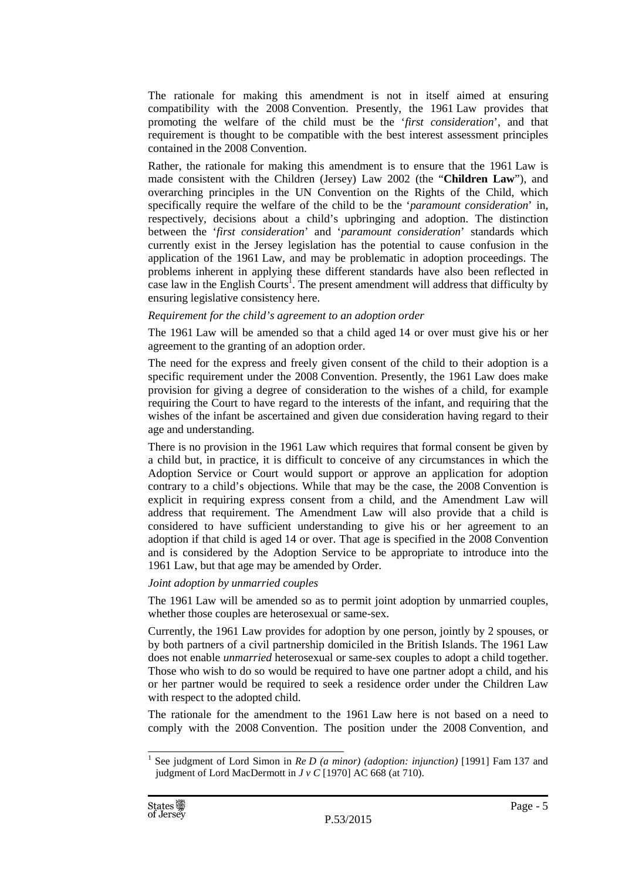The rationale for making this amendment is not in itself aimed at ensuring compatibility with the 2008 Convention. Presently, the 1961 Law provides that promoting the welfare of the child must be the '*first consideration*', and that requirement is thought to be compatible with the best interest assessment principles contained in the 2008 Convention.

Rather, the rationale for making this amendment is to ensure that the 1961 Law is made consistent with the Children (Jersey) Law 2002 (the "**Children Law**"), and overarching principles in the UN Convention on the Rights of the Child, which specifically require the welfare of the child to be the '*paramount consideration*' in, respectively, decisions about a child's upbringing and adoption. The distinction between the '*first consideration*' and '*paramount consideration*' standards which currently exist in the Jersey legislation has the potential to cause confusion in the application of the 1961 Law, and may be problematic in adoption proceedings. The problems inherent in applying these different standards have also been reflected in case law in the English Courts<sup>1</sup>. The present amendment will address that difficulty by ensuring legislative consistency here.

#### *Requirement for the child's agreement to an adoption order*

The 1961 Law will be amended so that a child aged 14 or over must give his or her agreement to the granting of an adoption order.

The need for the express and freely given consent of the child to their adoption is a specific requirement under the 2008 Convention. Presently, the 1961 Law does make provision for giving a degree of consideration to the wishes of a child, for example requiring the Court to have regard to the interests of the infant, and requiring that the wishes of the infant be ascertained and given due consideration having regard to their age and understanding.

There is no provision in the 1961 Law which requires that formal consent be given by a child but, in practice, it is difficult to conceive of any circumstances in which the Adoption Service or Court would support or approve an application for adoption contrary to a child's objections. While that may be the case, the 2008 Convention is explicit in requiring express consent from a child, and the Amendment Law will address that requirement. The Amendment Law will also provide that a child is considered to have sufficient understanding to give his or her agreement to an adoption if that child is aged 14 or over. That age is specified in the 2008 Convention and is considered by the Adoption Service to be appropriate to introduce into the 1961 Law, but that age may be amended by Order.

### *Joint adoption by unmarried couples*

The 1961 Law will be amended so as to permit joint adoption by unmarried couples, whether those couples are heterosexual or same-sex.

Currently, the 1961 Law provides for adoption by one person, jointly by 2 spouses, or by both partners of a civil partnership domiciled in the British Islands. The 1961 Law does not enable *unmarried* heterosexual or same-sex couples to adopt a child together. Those who wish to do so would be required to have one partner adopt a child, and his or her partner would be required to seek a residence order under the Children Law with respect to the adopted child.

The rationale for the amendment to the 1961 Law here is not based on a need to comply with the 2008 Convention. The position under the 2008 Convention, and

<sup>&</sup>lt;sup>1</sup> See judgment of Lord Simon in *Re D (a minor) (adoption: injunction)* [1991] Fam 137 and judgment of Lord MacDermott in *J v C* [1970] AC 668 (at 710).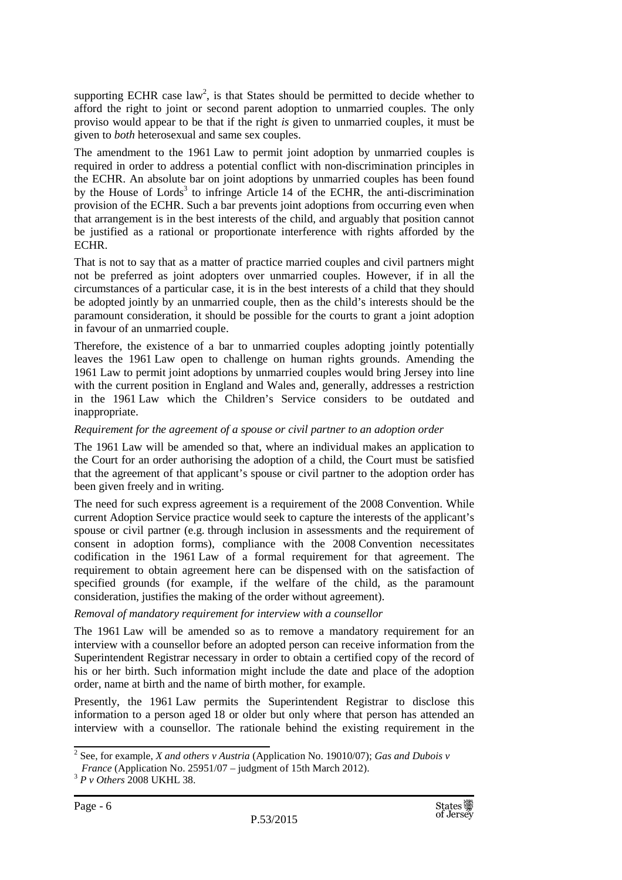supporting ECHR case  $\text{law}^2$ , is that States should be permitted to decide whether to afford the right to joint or second parent adoption to unmarried couples. The only proviso would appear to be that if the right *is* given to unmarried couples, it must be given to *both* heterosexual and same sex couples.

The amendment to the 1961 Law to permit joint adoption by unmarried couples is required in order to address a potential conflict with non-discrimination principles in the ECHR. An absolute bar on joint adoptions by unmarried couples has been found by the House of Lords<sup>3</sup> to infringe Article 14 of the ECHR, the anti-discrimination provision of the ECHR. Such a bar prevents joint adoptions from occurring even when that arrangement is in the best interests of the child, and arguably that position cannot be justified as a rational or proportionate interference with rights afforded by the ECHR.

That is not to say that as a matter of practice married couples and civil partners might not be preferred as joint adopters over unmarried couples. However, if in all the circumstances of a particular case, it is in the best interests of a child that they should be adopted jointly by an unmarried couple, then as the child's interests should be the paramount consideration, it should be possible for the courts to grant a joint adoption in favour of an unmarried couple.

Therefore, the existence of a bar to unmarried couples adopting jointly potentially leaves the 1961 Law open to challenge on human rights grounds. Amending the 1961 Law to permit joint adoptions by unmarried couples would bring Jersey into line with the current position in England and Wales and, generally, addresses a restriction in the 1961 Law which the Children's Service considers to be outdated and inappropriate.

### *Requirement for the agreement of a spouse or civil partner to an adoption order*

The 1961 Law will be amended so that, where an individual makes an application to the Court for an order authorising the adoption of a child, the Court must be satisfied that the agreement of that applicant's spouse or civil partner to the adoption order has been given freely and in writing.

The need for such express agreement is a requirement of the 2008 Convention. While current Adoption Service practice would seek to capture the interests of the applicant's spouse or civil partner (e.g. through inclusion in assessments and the requirement of consent in adoption forms), compliance with the 2008 Convention necessitates codification in the 1961 Law of a formal requirement for that agreement. The requirement to obtain agreement here can be dispensed with on the satisfaction of specified grounds (for example, if the welfare of the child, as the paramount consideration, justifies the making of the order without agreement).

### *Removal of mandatory requirement for interview with a counsellor*

The 1961 Law will be amended so as to remove a mandatory requirement for an interview with a counsellor before an adopted person can receive information from the Superintendent Registrar necessary in order to obtain a certified copy of the record of his or her birth. Such information might include the date and place of the adoption order, name at birth and the name of birth mother, for example.

Presently, the 1961 Law permits the Superintendent Registrar to disclose this information to a person aged 18 or older but only where that person has attended an interview with a counsellor. The rationale behind the existing requirement in the

<sup>2</sup> See, for example, *X and others v Austria* (Application No. 19010/07); *Gas and Dubois v* 

*France* (Application No. 25951/07 – judgment of 15th March 2012).

<sup>3</sup> *P v Others* 2008 UKHL 38.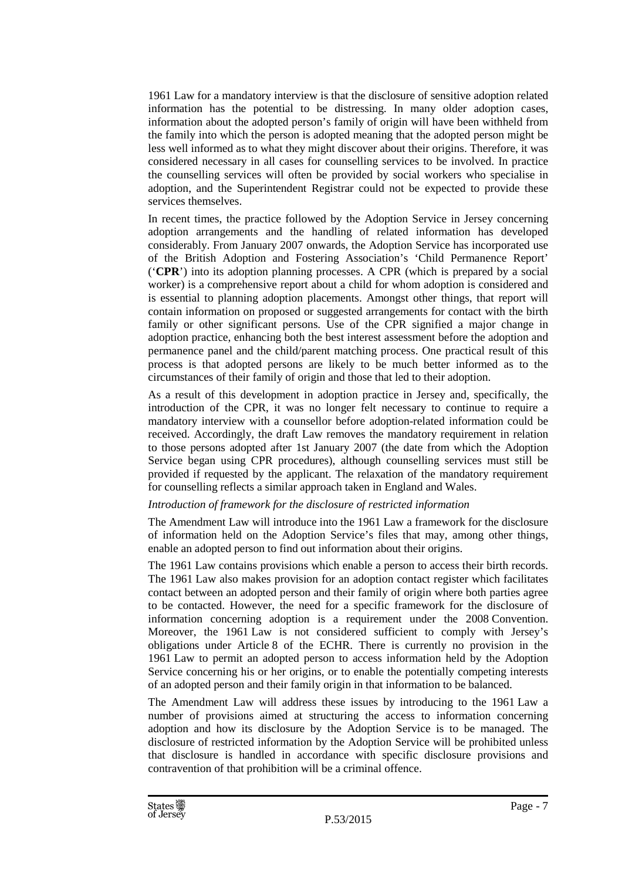1961 Law for a mandatory interview is that the disclosure of sensitive adoption related information has the potential to be distressing. In many older adoption cases, information about the adopted person's family of origin will have been withheld from the family into which the person is adopted meaning that the adopted person might be less well informed as to what they might discover about their origins. Therefore, it was considered necessary in all cases for counselling services to be involved. In practice the counselling services will often be provided by social workers who specialise in adoption, and the Superintendent Registrar could not be expected to provide these services themselves.

In recent times, the practice followed by the Adoption Service in Jersey concerning adoption arrangements and the handling of related information has developed considerably. From January 2007 onwards, the Adoption Service has incorporated use of the British Adoption and Fostering Association's 'Child Permanence Report' ('**CPR**') into its adoption planning processes. A CPR (which is prepared by a social worker) is a comprehensive report about a child for whom adoption is considered and is essential to planning adoption placements. Amongst other things, that report will contain information on proposed or suggested arrangements for contact with the birth family or other significant persons. Use of the CPR signified a major change in adoption practice, enhancing both the best interest assessment before the adoption and permanence panel and the child/parent matching process. One practical result of this process is that adopted persons are likely to be much better informed as to the circumstances of their family of origin and those that led to their adoption.

As a result of this development in adoption practice in Jersey and, specifically, the introduction of the CPR, it was no longer felt necessary to continue to require a mandatory interview with a counsellor before adoption-related information could be received. Accordingly, the draft Law removes the mandatory requirement in relation to those persons adopted after 1st January 2007 (the date from which the Adoption Service began using CPR procedures), although counselling services must still be provided if requested by the applicant. The relaxation of the mandatory requirement for counselling reflects a similar approach taken in England and Wales.

### *Introduction of framework for the disclosure of restricted information*

The Amendment Law will introduce into the 1961 Law a framework for the disclosure of information held on the Adoption Service's files that may, among other things, enable an adopted person to find out information about their origins.

The 1961 Law contains provisions which enable a person to access their birth records. The 1961 Law also makes provision for an adoption contact register which facilitates contact between an adopted person and their family of origin where both parties agree to be contacted. However, the need for a specific framework for the disclosure of information concerning adoption is a requirement under the 2008 Convention. Moreover, the 1961 Law is not considered sufficient to comply with Jersey's obligations under Article 8 of the ECHR. There is currently no provision in the 1961 Law to permit an adopted person to access information held by the Adoption Service concerning his or her origins, or to enable the potentially competing interests of an adopted person and their family origin in that information to be balanced.

The Amendment Law will address these issues by introducing to the 1961 Law a number of provisions aimed at structuring the access to information concerning adoption and how its disclosure by the Adoption Service is to be managed. The disclosure of restricted information by the Adoption Service will be prohibited unless that disclosure is handled in accordance with specific disclosure provisions and contravention of that prohibition will be a criminal offence.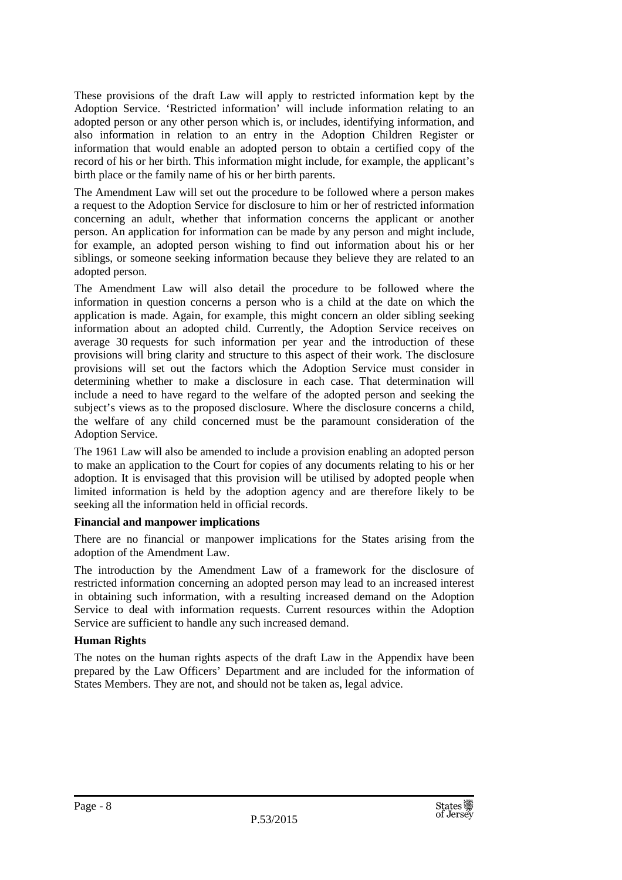These provisions of the draft Law will apply to restricted information kept by the Adoption Service. 'Restricted information' will include information relating to an adopted person or any other person which is, or includes, identifying information, and also information in relation to an entry in the Adoption Children Register or information that would enable an adopted person to obtain a certified copy of the record of his or her birth. This information might include, for example, the applicant's birth place or the family name of his or her birth parents.

The Amendment Law will set out the procedure to be followed where a person makes a request to the Adoption Service for disclosure to him or her of restricted information concerning an adult, whether that information concerns the applicant or another person. An application for information can be made by any person and might include, for example, an adopted person wishing to find out information about his or her siblings, or someone seeking information because they believe they are related to an adopted person.

The Amendment Law will also detail the procedure to be followed where the information in question concerns a person who is a child at the date on which the application is made. Again, for example, this might concern an older sibling seeking information about an adopted child. Currently, the Adoption Service receives on average 30 requests for such information per year and the introduction of these provisions will bring clarity and structure to this aspect of their work. The disclosure provisions will set out the factors which the Adoption Service must consider in determining whether to make a disclosure in each case. That determination will include a need to have regard to the welfare of the adopted person and seeking the subject's views as to the proposed disclosure. Where the disclosure concerns a child, the welfare of any child concerned must be the paramount consideration of the Adoption Service.

The 1961 Law will also be amended to include a provision enabling an adopted person to make an application to the Court for copies of any documents relating to his or her adoption. It is envisaged that this provision will be utilised by adopted people when limited information is held by the adoption agency and are therefore likely to be seeking all the information held in official records.

### **Financial and manpower implications**

There are no financial or manpower implications for the States arising from the adoption of the Amendment Law.

The introduction by the Amendment Law of a framework for the disclosure of restricted information concerning an adopted person may lead to an increased interest in obtaining such information, with a resulting increased demand on the Adoption Service to deal with information requests. Current resources within the Adoption Service are sufficient to handle any such increased demand.

### **Human Rights**

The notes on the human rights aspects of the draft Law in the Appendix have been prepared by the Law Officers' Department and are included for the information of States Members. They are not, and should not be taken as, legal advice.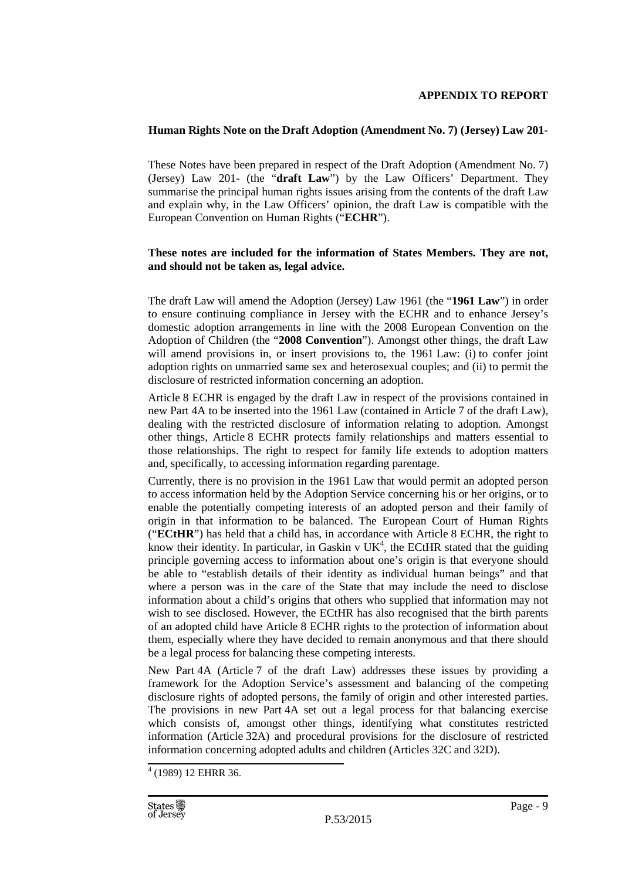### **APPENDIX TO REPORT**

### **Human Rights Note on the Draft Adoption (Amendment No. 7) (Jersey) Law 201-**

These Notes have been prepared in respect of the Draft Adoption (Amendment No. 7) (Jersey) Law 201- (the "**draft Law**") by the Law Officers' Department. They summarise the principal human rights issues arising from the contents of the draft Law and explain why, in the Law Officers' opinion, the draft Law is compatible with the European Convention on Human Rights ("**ECHR**").

### **These notes are included for the information of States Members. They are not, and should not be taken as, legal advice.**

The draft Law will amend the Adoption (Jersey) Law 1961 (the "**1961 Law**") in order to ensure continuing compliance in Jersey with the ECHR and to enhance Jersey's domestic adoption arrangements in line with the 2008 European Convention on the Adoption of Children (the "**2008 Convention**"). Amongst other things, the draft Law will amend provisions in, or insert provisions to, the 1961 Law: (i) to confer joint adoption rights on unmarried same sex and heterosexual couples; and (ii) to permit the disclosure of restricted information concerning an adoption.

Article 8 ECHR is engaged by the draft Law in respect of the provisions contained in new Part 4A to be inserted into the 1961 Law (contained in Article 7 of the draft Law), dealing with the restricted disclosure of information relating to adoption. Amongst other things, Article 8 ECHR protects family relationships and matters essential to those relationships. The right to respect for family life extends to adoption matters and, specifically, to accessing information regarding parentage.

Currently, there is no provision in the 1961 Law that would permit an adopted person to access information held by the Adoption Service concerning his or her origins, or to enable the potentially competing interests of an adopted person and their family of origin in that information to be balanced. The European Court of Human Rights ("**ECtHR**") has held that a child has, in accordance with Article 8 ECHR, the right to know their identity. In particular, in Gaskin v  $UK<sup>4</sup>$ , the ECtHR stated that the guiding principle governing access to information about one's origin is that everyone should be able to "establish details of their identity as individual human beings" and that where a person was in the care of the State that may include the need to disclose information about a child's origins that others who supplied that information may not wish to see disclosed. However, the ECtHR has also recognised that the birth parents of an adopted child have Article 8 ECHR rights to the protection of information about them, especially where they have decided to remain anonymous and that there should be a legal process for balancing these competing interests.

New Part 4A (Article 7 of the draft Law) addresses these issues by providing a framework for the Adoption Service's assessment and balancing of the competing disclosure rights of adopted persons, the family of origin and other interested parties. The provisions in new Part 4A set out a legal process for that balancing exercise which consists of, amongst other things, identifying what constitutes restricted information (Article 32A) and procedural provisions for the disclosure of restricted information concerning adopted adults and children (Articles 32C and 32D).

<sup>4</sup> (1989) 12 EHRR 36.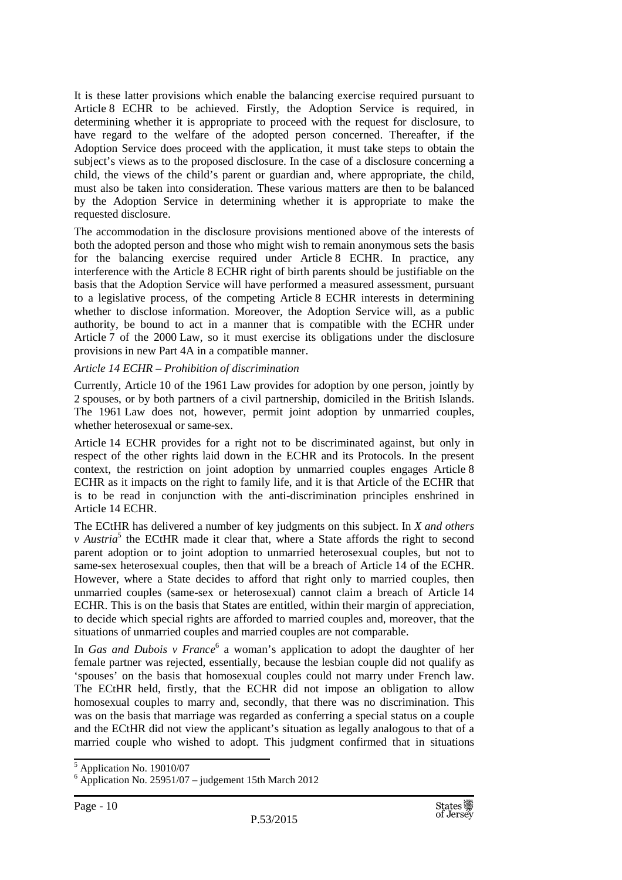It is these latter provisions which enable the balancing exercise required pursuant to Article 8 ECHR to be achieved. Firstly, the Adoption Service is required, in determining whether it is appropriate to proceed with the request for disclosure, to have regard to the welfare of the adopted person concerned. Thereafter, if the Adoption Service does proceed with the application, it must take steps to obtain the subject's views as to the proposed disclosure. In the case of a disclosure concerning a child, the views of the child's parent or guardian and, where appropriate, the child, must also be taken into consideration. These various matters are then to be balanced by the Adoption Service in determining whether it is appropriate to make the requested disclosure.

The accommodation in the disclosure provisions mentioned above of the interests of both the adopted person and those who might wish to remain anonymous sets the basis for the balancing exercise required under Article 8 ECHR. In practice, any interference with the Article 8 ECHR right of birth parents should be justifiable on the basis that the Adoption Service will have performed a measured assessment, pursuant to a legislative process, of the competing Article 8 ECHR interests in determining whether to disclose information. Moreover, the Adoption Service will, as a public authority, be bound to act in a manner that is compatible with the ECHR under Article 7 of the 2000 Law, so it must exercise its obligations under the disclosure provisions in new Part 4A in a compatible manner.

### *Article 14 ECHR – Prohibition of discrimination*

Currently, Article 10 of the 1961 Law provides for adoption by one person, jointly by 2 spouses, or by both partners of a civil partnership, domiciled in the British Islands. The 1961 Law does not, however, permit joint adoption by unmarried couples, whether heterosexual or same-sex.

Article 14 ECHR provides for a right not to be discriminated against, but only in respect of the other rights laid down in the ECHR and its Protocols. In the present context, the restriction on joint adoption by unmarried couples engages Article 8 ECHR as it impacts on the right to family life, and it is that Article of the ECHR that is to be read in conjunction with the anti-discrimination principles enshrined in Article 14 ECHR.

The ECtHR has delivered a number of key judgments on this subject. In *X and others v* Austria<sup>5</sup> the ECtHR made it clear that, where a State affords the right to second parent adoption or to joint adoption to unmarried heterosexual couples, but not to same-sex heterosexual couples, then that will be a breach of Article 14 of the ECHR. However, where a State decides to afford that right only to married couples, then unmarried couples (same-sex or heterosexual) cannot claim a breach of Article 14 ECHR. This is on the basis that States are entitled, within their margin of appreciation, to decide which special rights are afforded to married couples and, moreover, that the situations of unmarried couples and married couples are not comparable.

In *Gas and Dubois v France*<sup>6</sup> a woman's application to adopt the daughter of her female partner was rejected, essentially, because the lesbian couple did not qualify as 'spouses' on the basis that homosexual couples could not marry under French law. The ECtHR held, firstly, that the ECHR did not impose an obligation to allow homosexual couples to marry and, secondly, that there was no discrimination. This was on the basis that marriage was regarded as conferring a special status on a couple and the ECtHR did not view the applicant's situation as legally analogous to that of a married couple who wished to adopt. This judgment confirmed that in situations

<sup>5</sup> Application No. 19010/07

 $6$  Application No. 25951/07 – judgement 15th March 2012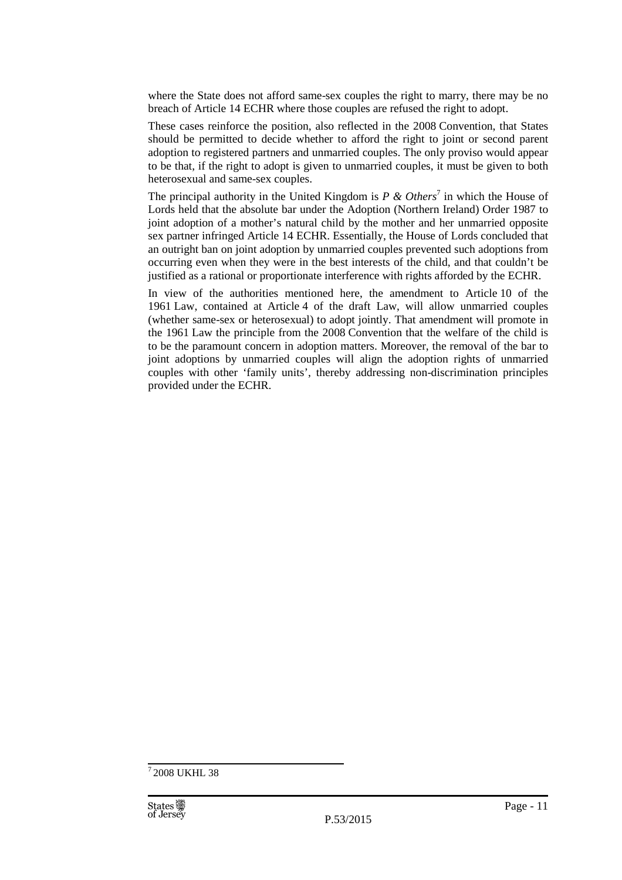where the State does not afford same-sex couples the right to marry, there may be no breach of Article 14 ECHR where those couples are refused the right to adopt.

These cases reinforce the position, also reflected in the 2008 Convention, that States should be permitted to decide whether to afford the right to joint or second parent adoption to registered partners and unmarried couples. The only proviso would appear to be that, if the right to adopt is given to unmarried couples, it must be given to both heterosexual and same-sex couples.

The principal authority in the United Kingdom is  $P \& Others^7$  in which the House of Lords held that the absolute bar under the Adoption (Northern Ireland) Order 1987 to joint adoption of a mother's natural child by the mother and her unmarried opposite sex partner infringed Article 14 ECHR. Essentially, the House of Lords concluded that an outright ban on joint adoption by unmarried couples prevented such adoptions from occurring even when they were in the best interests of the child, and that couldn't be justified as a rational or proportionate interference with rights afforded by the ECHR.

In view of the authorities mentioned here, the amendment to Article 10 of the 1961 Law, contained at Article 4 of the draft Law, will allow unmarried couples (whether same-sex or heterosexual) to adopt jointly. That amendment will promote in the 1961 Law the principle from the 2008 Convention that the welfare of the child is to be the paramount concern in adoption matters. Moreover, the removal of the bar to joint adoptions by unmarried couples will align the adoption rights of unmarried couples with other 'family units', thereby addressing non-discrimination principles provided under the ECHR.

<sup>7</sup>2008 UKHL 38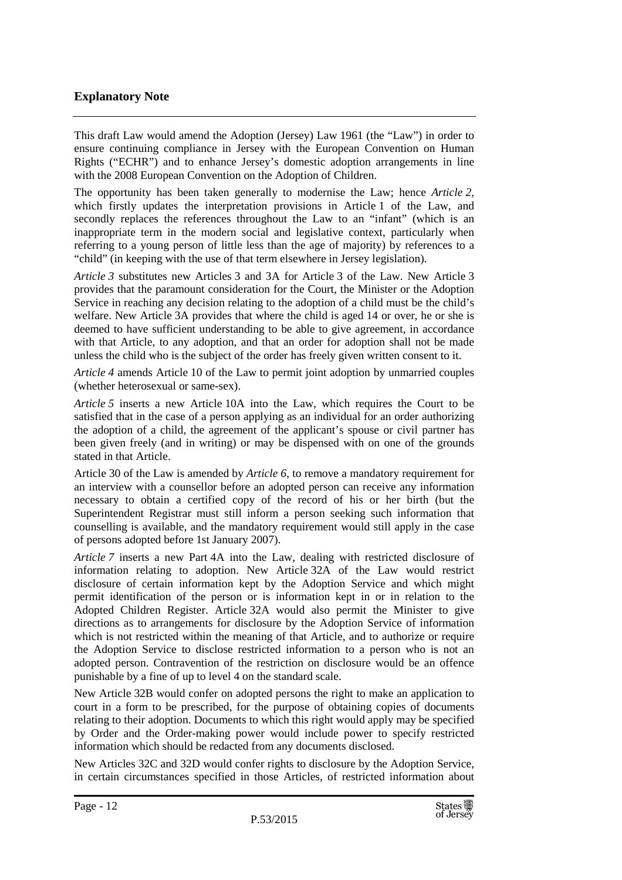### **Explanatory Note**

This draft Law would amend the Adoption (Jersey) Law 1961 (the "Law") in order to ensure continuing compliance in Jersey with the European Convention on Human Rights ("ECHR") and to enhance Jersey's domestic adoption arrangements in line with the 2008 European Convention on the Adoption of Children.

The opportunity has been taken generally to modernise the Law; hence *Article 2,*  which firstly updates the interpretation provisions in Article 1 of the Law, and secondly replaces the references throughout the Law to an "infant" (which is an inappropriate term in the modern social and legislative context, particularly when referring to a young person of little less than the age of majority) by references to a "child" (in keeping with the use of that term elsewhere in Jersey legislation).

*Article 3* substitutes new Articles 3 and 3A for Article 3 of the Law. New Article 3 provides that the paramount consideration for the Court, the Minister or the Adoption Service in reaching any decision relating to the adoption of a child must be the child's welfare. New Article 3A provides that where the child is aged 14 or over, he or she is deemed to have sufficient understanding to be able to give agreement, in accordance with that Article, to any adoption, and that an order for adoption shall not be made unless the child who is the subject of the order has freely given written consent to it.

*Article 4* amends Article 10 of the Law to permit joint adoption by unmarried couples (whether heterosexual or same-sex).

*Article 5* inserts a new Article 10A into the Law, which requires the Court to be satisfied that in the case of a person applying as an individual for an order authorizing the adoption of a child, the agreement of the applicant's spouse or civil partner has been given freely (and in writing) or may be dispensed with on one of the grounds stated in that Article.

Article 30 of the Law is amended by *Article 6*, to remove a mandatory requirement for an interview with a counsellor before an adopted person can receive any information necessary to obtain a certified copy of the record of his or her birth (but the Superintendent Registrar must still inform a person seeking such information that counselling is available, and the mandatory requirement would still apply in the case of persons adopted before 1st January 2007).

*Article 7* inserts a new Part 4A into the Law, dealing with restricted disclosure of information relating to adoption. New Article 32A of the Law would restrict disclosure of certain information kept by the Adoption Service and which might permit identification of the person or is information kept in or in relation to the Adopted Children Register. Article 32A would also permit the Minister to give directions as to arrangements for disclosure by the Adoption Service of information which is not restricted within the meaning of that Article, and to authorize or require the Adoption Service to disclose restricted information to a person who is not an adopted person. Contravention of the restriction on disclosure would be an offence punishable by a fine of up to level 4 on the standard scale.

New Article 32B would confer on adopted persons the right to make an application to court in a form to be prescribed, for the purpose of obtaining copies of documents relating to their adoption. Documents to which this right would apply may be specified by Order and the Order-making power would include power to specify restricted information which should be redacted from any documents disclosed.

New Articles 32C and 32D would confer rights to disclosure by the Adoption Service, in certain circumstances specified in those Articles, of restricted information about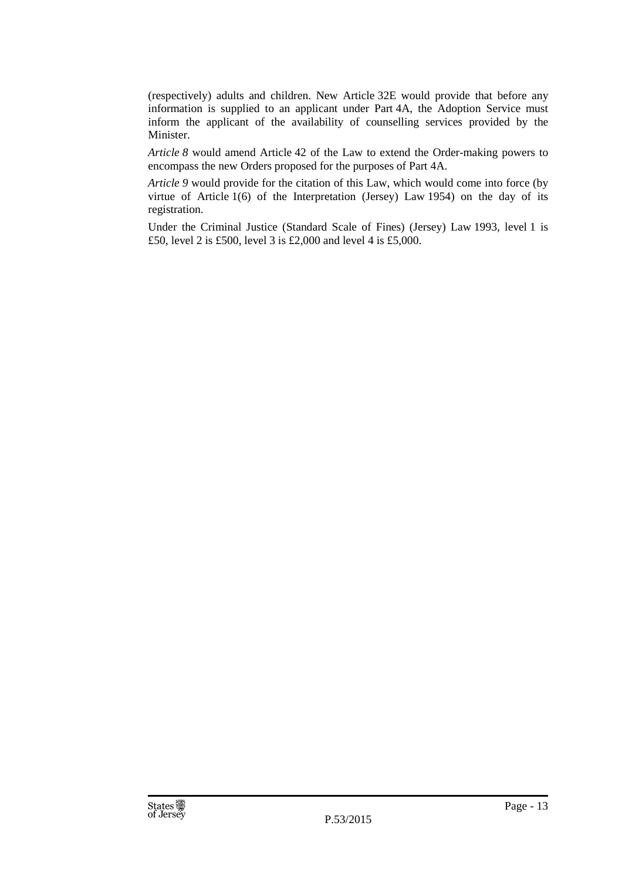(respectively) adults and children. New Article 32E would provide that before any information is supplied to an applicant under Part 4A, the Adoption Service must inform the applicant of the availability of counselling services provided by the Minister.

*Article 8* would amend Article 42 of the Law to extend the Order-making powers to encompass the new Orders proposed for the purposes of Part 4A.

*Article 9* would provide for the citation of this Law, which would come into force (by virtue of Article 1(6) of the Interpretation (Jersey) Law 1954) on the day of its registration.

Under the Criminal Justice (Standard Scale of Fines) (Jersey) Law 1993, level 1 is £50, level 2 is £500, level 3 is £2,000 and level 4 is £5,000.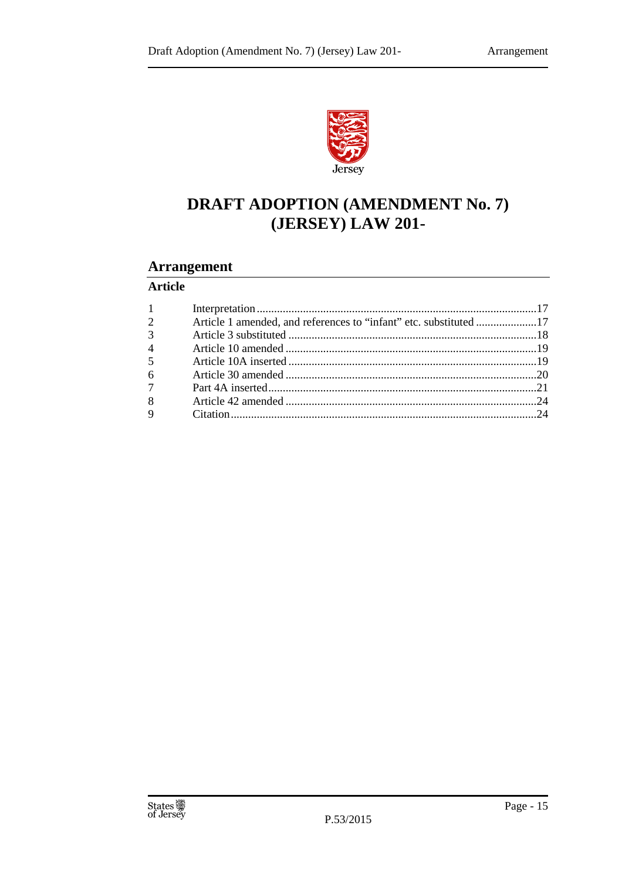

### **DRAFT ADOPTION (AMENDMENT No. 7)** (JERSEY) LAW 201-

### **Arrangement**

### **Article**

| $1 \qquad \qquad$ |                                                                   |  |
|-------------------|-------------------------------------------------------------------|--|
| $\overline{2}$    | Article 1 amended, and references to "infant" etc. substituted 17 |  |
| $\overline{3}$    |                                                                   |  |
| $\overline{4}$    |                                                                   |  |
| 5 <sup>5</sup>    |                                                                   |  |
| $6\degree$        |                                                                   |  |
| $7\overline{ }$   |                                                                   |  |
| 8                 |                                                                   |  |
|                   |                                                                   |  |
|                   |                                                                   |  |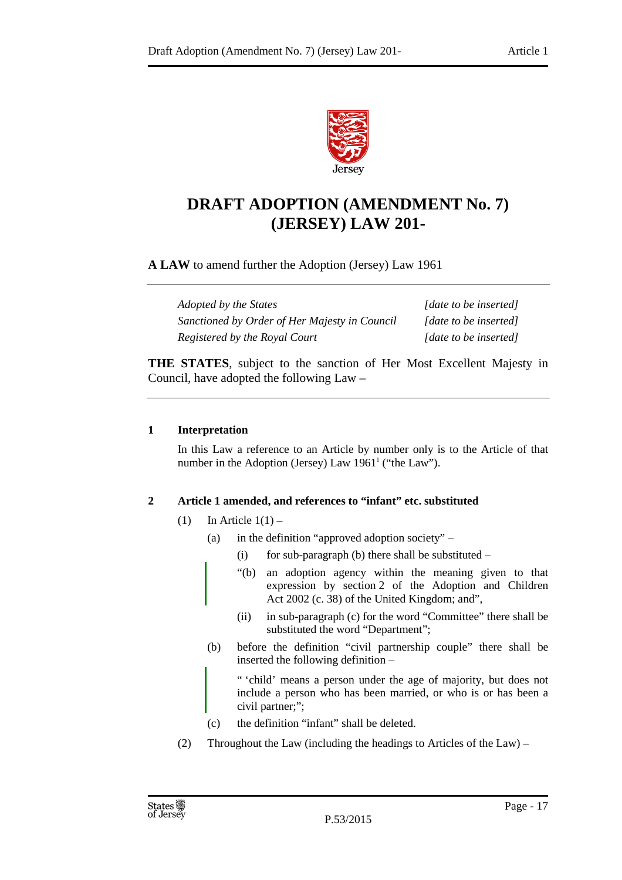

### **DRAFT ADOPTION (AMENDMENT No. 7) (JERSEY) LAW 201-**

**A LAW** to amend further the Adoption (Jersey) Law 1961

*Adopted by the States* [*date to be inserted] Sanctioned by Order of Her Majesty in Council [date to be inserted] Registered by the Royal Court* [date to be inserted]

**THE STATES**, subject to the sanction of Her Most Excellent Majesty in Council, have adopted the following Law –

### **1 Interpretation**

In this Law a reference to an Article by number only is to the Article of that number in the Adoption (Jersey) Law 1961<sup>1</sup> ("the Law").

### **2 Article 1 amended, and references to "infant" etc. substituted**

- (1) In Article  $1(1)$ 
	- (a) in the definition "approved adoption society"
		- (i) for sub-paragraph (b) there shall be substituted  $-$
		- "(b) an adoption agency within the meaning given to that expression by section 2 of the Adoption and Children Act 2002 (c. 38) of the United Kingdom; and",
		- (ii) in sub-paragraph (c) for the word "Committee" there shall be substituted the word "Department";
	- (b) before the definition "civil partnership couple" there shall be inserted the following definition –

" 'child' means a person under the age of majority, but does not include a person who has been married, or who is or has been a civil partner;";

- (c) the definition "infant" shall be deleted.
- (2) Throughout the Law (including the headings to Articles of the Law) –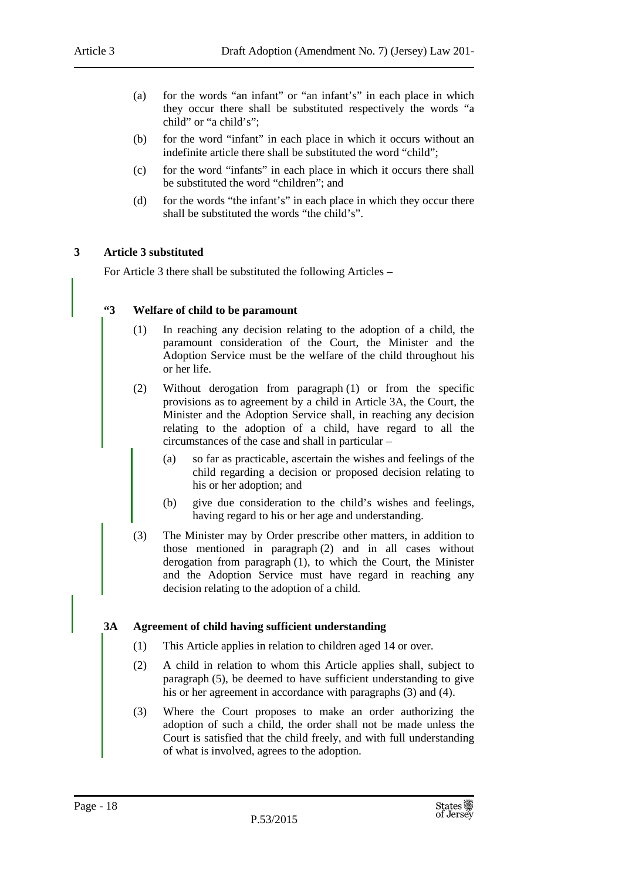- (a) for the words "an infant" or "an infant's" in each place in which they occur there shall be substituted respectively the words "a child" or "a child's";
- (b) for the word "infant" in each place in which it occurs without an indefinite article there shall be substituted the word "child";
- (c) for the word "infants" in each place in which it occurs there shall be substituted the word "children"; and
- (d) for the words "the infant's" in each place in which they occur there shall be substituted the words "the child's".

### **3 Article 3 substituted**

For Article 3 there shall be substituted the following Articles –

### **"3 Welfare of child to be paramount**

- (1) In reaching any decision relating to the adoption of a child, the paramount consideration of the Court, the Minister and the Adoption Service must be the welfare of the child throughout his or her life.
- (2) Without derogation from paragraph (1) or from the specific provisions as to agreement by a child in Article 3A, the Court, the Minister and the Adoption Service shall, in reaching any decision relating to the adoption of a child, have regard to all the circumstances of the case and shall in particular –
	- (a) so far as practicable, ascertain the wishes and feelings of the child regarding a decision or proposed decision relating to his or her adoption; and
	- (b) give due consideration to the child's wishes and feelings, having regard to his or her age and understanding.
- (3) The Minister may by Order prescribe other matters, in addition to those mentioned in paragraph (2) and in all cases without derogation from paragraph (1), to which the Court, the Minister and the Adoption Service must have regard in reaching any decision relating to the adoption of a child.

### **3A Agreement of child having sufficient understanding**

- (1) This Article applies in relation to children aged 14 or over.
- (2) A child in relation to whom this Article applies shall, subject to paragraph (5), be deemed to have sufficient understanding to give his or her agreement in accordance with paragraphs (3) and (4).
- (3) Where the Court proposes to make an order authorizing the adoption of such a child, the order shall not be made unless the Court is satisfied that the child freely, and with full understanding of what is involved, agrees to the adoption.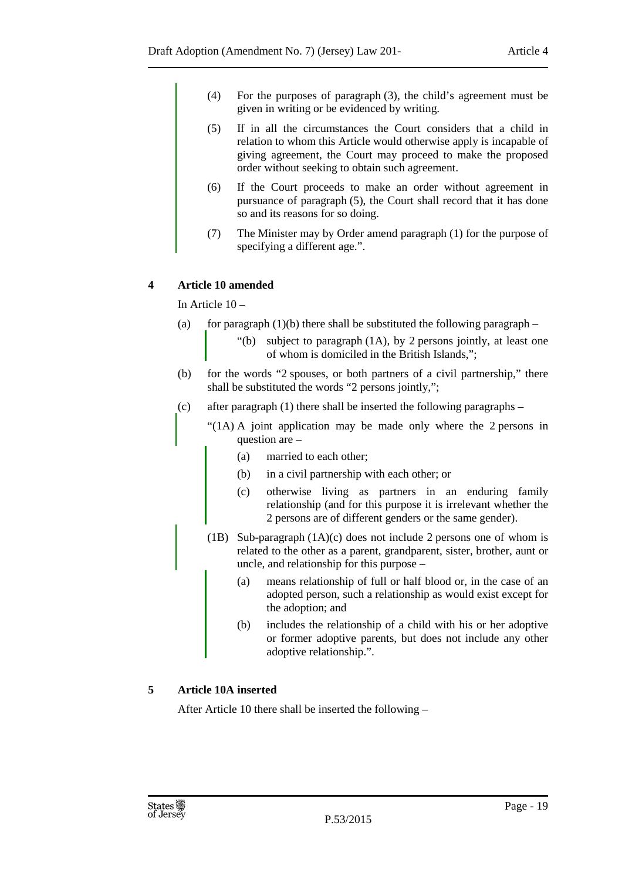- (4) For the purposes of paragraph (3), the child's agreement must be given in writing or be evidenced by writing.
- (5) If in all the circumstances the Court considers that a child in relation to whom this Article would otherwise apply is incapable of giving agreement, the Court may proceed to make the proposed order without seeking to obtain such agreement.
- (6) If the Court proceeds to make an order without agreement in pursuance of paragraph (5), the Court shall record that it has done so and its reasons for so doing.
- (7) The Minister may by Order amend paragraph (1) for the purpose of specifying a different age.".

### **4 Article 10 amended**

In Article 10 –

- (a) for paragraph  $(1)(b)$  there shall be substituted the following paragraph
	- "(b) subject to paragraph (1A), by 2 persons jointly, at least one of whom is domiciled in the British Islands,";
- (b) for the words "2 spouses, or both partners of a civil partnership," there shall be substituted the words "2 persons jointly,";
- (c) after paragraph  $(1)$  there shall be inserted the following paragraphs
	- "(1A) A joint application may be made only where the 2 persons in question are –
		- (a) married to each other;
		- (b) in a civil partnership with each other; or
		- (c) otherwise living as partners in an enduring family relationship (and for this purpose it is irrelevant whether the 2 persons are of different genders or the same gender).
	- (1B) Sub-paragraph (1A)(c) does not include 2 persons one of whom is related to the other as a parent, grandparent, sister, brother, aunt or uncle, and relationship for this purpose –
		- (a) means relationship of full or half blood or, in the case of an adopted person, such a relationship as would exist except for the adoption; and
		- (b) includes the relationship of a child with his or her adoptive or former adoptive parents, but does not include any other adoptive relationship.".

### **5 Article 10A inserted**

After Article 10 there shall be inserted the following –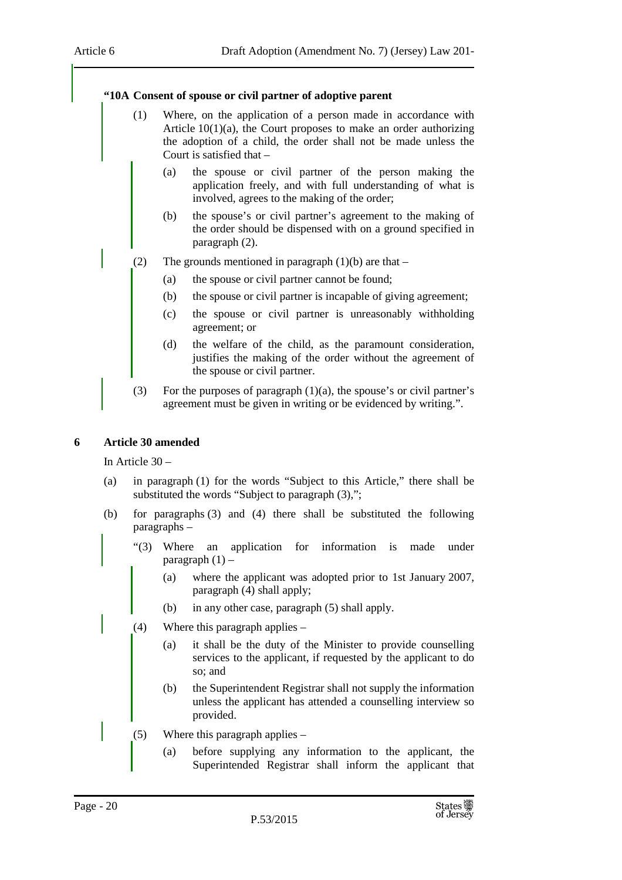### **"10A Consent of spouse or civil partner of adoptive parent**

- (1) Where, on the application of a person made in accordance with Article 10(1)(a), the Court proposes to make an order authorizing the adoption of a child, the order shall not be made unless the Court is satisfied that –
	- (a) the spouse or civil partner of the person making the application freely, and with full understanding of what is involved, agrees to the making of the order;
	- (b) the spouse's or civil partner's agreement to the making of the order should be dispensed with on a ground specified in paragraph (2).
- (2) The grounds mentioned in paragraph  $(1)(b)$  are that
	- (a) the spouse or civil partner cannot be found;
	- (b) the spouse or civil partner is incapable of giving agreement;
	- (c) the spouse or civil partner is unreasonably withholding agreement; or
	- (d) the welfare of the child, as the paramount consideration, justifies the making of the order without the agreement of the spouse or civil partner.
	- (3) For the purposes of paragraph  $(1)(a)$ , the spouse's or civil partner's agreement must be given in writing or be evidenced by writing.".

### **6 Article 30 amended**

In Article 30 –

- (a) in paragraph (1) for the words "Subject to this Article," there shall be substituted the words "Subject to paragraph  $(3)$ ,";
- (b) for paragraphs (3) and (4) there shall be substituted the following paragraphs –
	- "(3) Where an application for information is made under paragraph  $(1)$  –
		- (a) where the applicant was adopted prior to 1st January 2007, paragraph (4) shall apply;
		- (b) in any other case, paragraph (5) shall apply.
	- (4) Where this paragraph applies
		- (a) it shall be the duty of the Minister to provide counselling services to the applicant, if requested by the applicant to do so; and
		- (b) the Superintendent Registrar shall not supply the information unless the applicant has attended a counselling interview so provided.
	- (5) Where this paragraph applies
		- (a) before supplying any information to the applicant, the Superintended Registrar shall inform the applicant that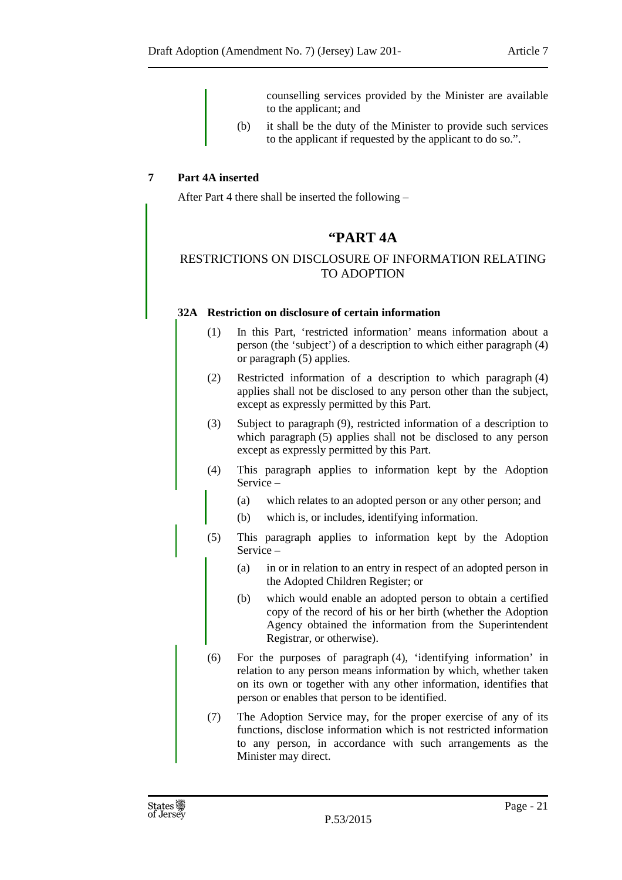counselling services provided by the Minister are available to the applicant; and

(b) it shall be the duty of the Minister to provide such services to the applicant if requested by the applicant to do so.".

### **7 Part 4A inserted**

After Part 4 there shall be inserted the following –

### **"PART 4A**

### RESTRICTIONS ON DISCLOSURE OF INFORMATION RELATING TO ADOPTION

### **32A Restriction on disclosure of certain information**

- (1) In this Part, 'restricted information' means information about a person (the 'subject') of a description to which either paragraph (4) or paragraph (5) applies.
- (2) Restricted information of a description to which paragraph (4) applies shall not be disclosed to any person other than the subject, except as expressly permitted by this Part.
- (3) Subject to paragraph (9), restricted information of a description to which paragraph (5) applies shall not be disclosed to any person except as expressly permitted by this Part.
- (4) This paragraph applies to information kept by the Adoption Service –
	- (a) which relates to an adopted person or any other person; and
	- (b) which is, or includes, identifying information.
- (5) This paragraph applies to information kept by the Adoption Service –
	- (a) in or in relation to an entry in respect of an adopted person in the Adopted Children Register; or
	- (b) which would enable an adopted person to obtain a certified copy of the record of his or her birth (whether the Adoption Agency obtained the information from the Superintendent Registrar, or otherwise).
- (6) For the purposes of paragraph (4), 'identifying information' in relation to any person means information by which, whether taken on its own or together with any other information, identifies that person or enables that person to be identified.
- (7) The Adoption Service may, for the proper exercise of any of its functions, disclose information which is not restricted information to any person, in accordance with such arrangements as the Minister may direct.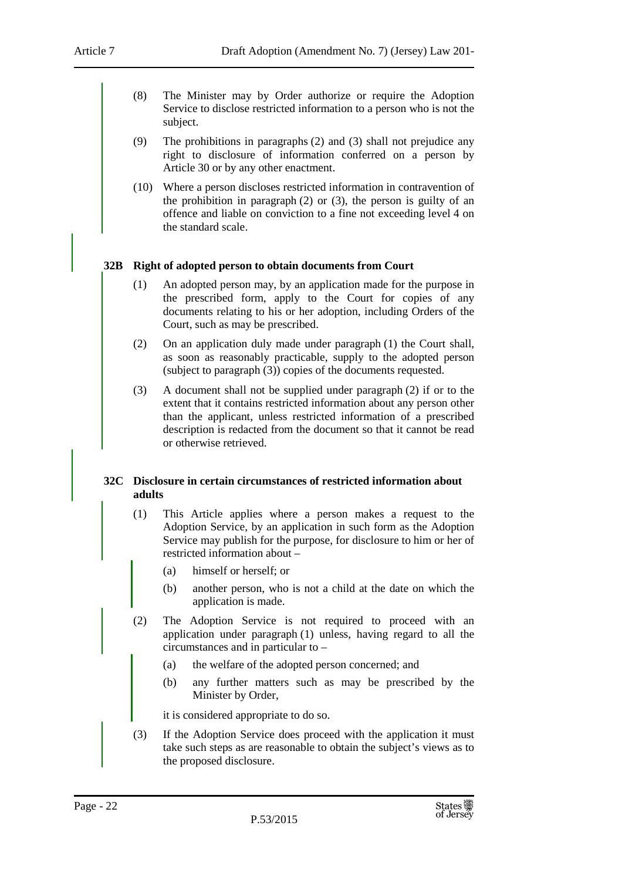- (8) The Minister may by Order authorize or require the Adoption Service to disclose restricted information to a person who is not the subject.
- (9) The prohibitions in paragraphs (2) and (3) shall not prejudice any right to disclosure of information conferred on a person by Article 30 or by any other enactment.
- (10) Where a person discloses restricted information in contravention of the prohibition in paragraph (2) or (3), the person is guilty of an offence and liable on conviction to a fine not exceeding level 4 on the standard scale.

### **32B Right of adopted person to obtain documents from Court**

- (1) An adopted person may, by an application made for the purpose in the prescribed form, apply to the Court for copies of any documents relating to his or her adoption, including Orders of the Court, such as may be prescribed.
- (2) On an application duly made under paragraph (1) the Court shall, as soon as reasonably practicable, supply to the adopted person (subject to paragraph (3)) copies of the documents requested.
- (3) A document shall not be supplied under paragraph (2) if or to the extent that it contains restricted information about any person other than the applicant, unless restricted information of a prescribed description is redacted from the document so that it cannot be read or otherwise retrieved.

### **32C Disclosure in certain circumstances of restricted information about adults**

- (1) This Article applies where a person makes a request to the Adoption Service, by an application in such form as the Adoption Service may publish for the purpose, for disclosure to him or her of restricted information about –
	- (a) himself or herself; or
	- (b) another person, who is not a child at the date on which the application is made.
- (2) The Adoption Service is not required to proceed with an application under paragraph (1) unless, having regard to all the circumstances and in particular to –
	- (a) the welfare of the adopted person concerned; and
	- (b) any further matters such as may be prescribed by the Minister by Order,

it is considered appropriate to do so.

(3) If the Adoption Service does proceed with the application it must take such steps as are reasonable to obtain the subject's views as to the proposed disclosure.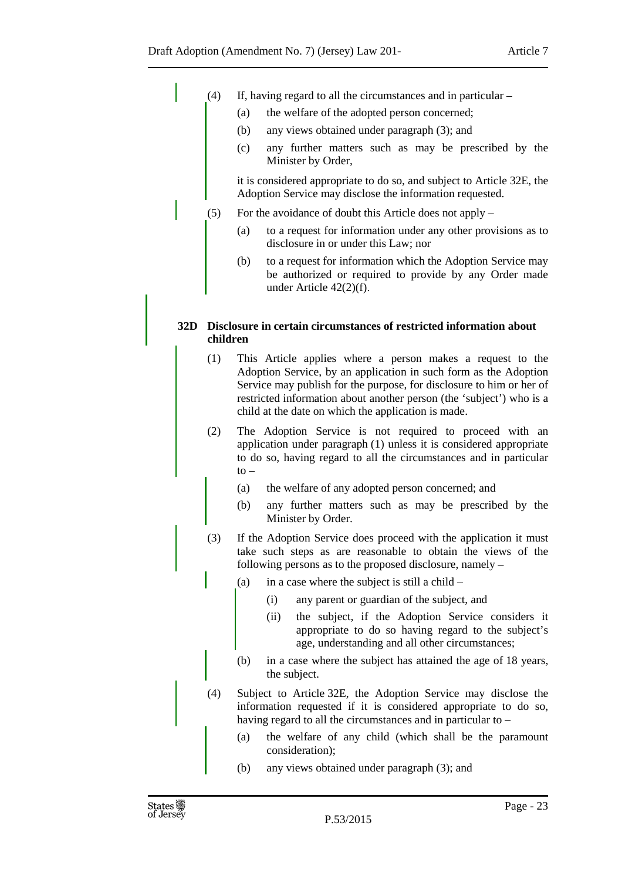- (4) If, having regard to all the circumstances and in particular
	- (a) the welfare of the adopted person concerned;
	- (b) any views obtained under paragraph (3); and
	- (c) any further matters such as may be prescribed by the Minister by Order,

it is considered appropriate to do so, and subject to Article 32E, the Adoption Service may disclose the information requested.

- (5) For the avoidance of doubt this Article does not apply
	- (a) to a request for information under any other provisions as to disclosure in or under this Law; nor
	- (b) to a request for information which the Adoption Service may be authorized or required to provide by any Order made under Article 42(2)(f).

### **32D Disclosure in certain circumstances of restricted information about children**

- (1) This Article applies where a person makes a request to the Adoption Service, by an application in such form as the Adoption Service may publish for the purpose, for disclosure to him or her of restricted information about another person (the 'subject') who is a child at the date on which the application is made.
- (2) The Adoption Service is not required to proceed with an application under paragraph (1) unless it is considered appropriate to do so, having regard to all the circumstances and in particular  $to -$ 
	- (a) the welfare of any adopted person concerned; and
	- (b) any further matters such as may be prescribed by the Minister by Order.
- (3) If the Adoption Service does proceed with the application it must take such steps as are reasonable to obtain the views of the following persons as to the proposed disclosure, namely –
	- (a) in a case where the subject is still a child
		- (i) any parent or guardian of the subject, and
		- (ii) the subject, if the Adoption Service considers it appropriate to do so having regard to the subject's age, understanding and all other circumstances;
	- (b) in a case where the subject has attained the age of 18 years, the subject.
- (4) Subject to Article 32E, the Adoption Service may disclose the information requested if it is considered appropriate to do so, having regard to all the circumstances and in particular to –
	- (a) the welfare of any child (which shall be the paramount consideration);
	- (b) any views obtained under paragraph (3); and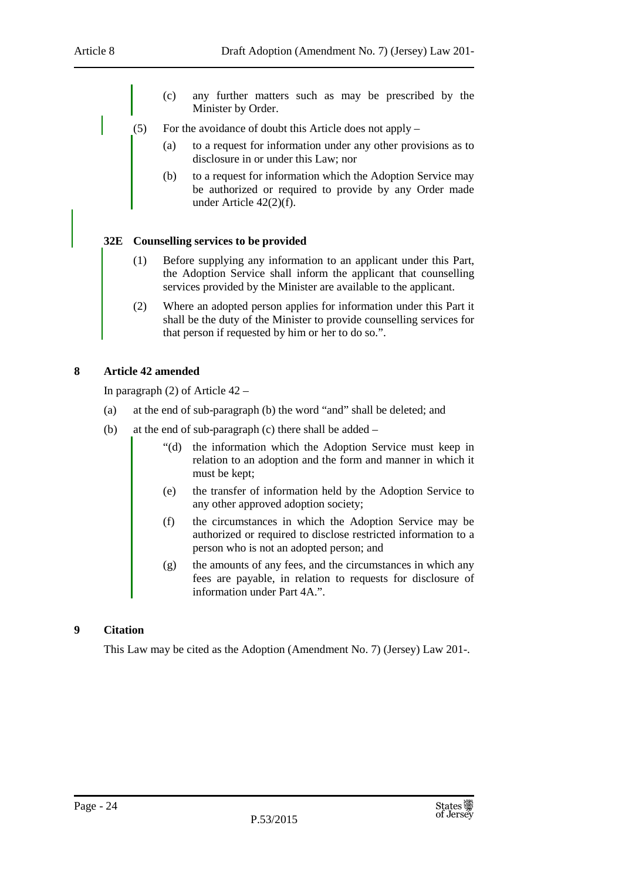- (c) any further matters such as may be prescribed by the Minister by Order.
- (5) For the avoidance of doubt this Article does not apply
	- (a) to a request for information under any other provisions as to disclosure in or under this Law; nor
	- (b) to a request for information which the Adoption Service may be authorized or required to provide by any Order made under Article 42(2)(f).

### **32E Counselling services to be provided**

- (1) Before supplying any information to an applicant under this Part, the Adoption Service shall inform the applicant that counselling services provided by the Minister are available to the applicant.
- (2) Where an adopted person applies for information under this Part it shall be the duty of the Minister to provide counselling services for that person if requested by him or her to do so.".

### **8 Article 42 amended**

In paragraph (2) of Article 42 –

- (a) at the end of sub-paragraph (b) the word "and" shall be deleted; and
- (b) at the end of sub-paragraph (c) there shall be added
	- "(d) the information which the Adoption Service must keep in relation to an adoption and the form and manner in which it must be kept;
	- (e) the transfer of information held by the Adoption Service to any other approved adoption society;
	- (f) the circumstances in which the Adoption Service may be authorized or required to disclose restricted information to a person who is not an adopted person; and
	- (g) the amounts of any fees, and the circumstances in which any fees are payable, in relation to requests for disclosure of information under Part 4A.".

### **9 Citation**

This Law may be cited as the Adoption (Amendment No. 7) (Jersey) Law 201-.